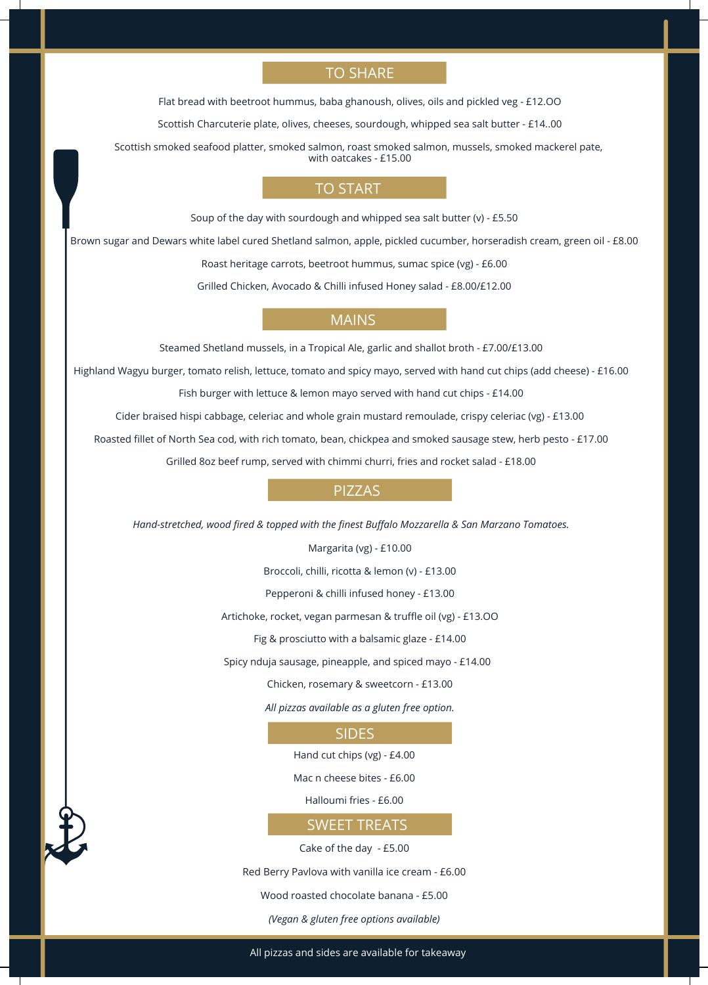# TO SHARE

Flat bread with beetroot hummus, baba ghanoush, olives, oils and pickled veg - £12.OO

Scottish Charcuterie plate, olives, cheeses, sourdough, whipped sea salt butter - £14..00

Scottish smoked seafood platter, smoked salmon, roast smoked salmon, mussels, smoked mackerel pate, with oatcakes - £15.00

### TO START

Soup of the day with sourdough and whipped sea salt butter (v) - £5.50

Brown sugar and Dewars white label cured Shetland salmon, apple, pickled cucumber, horseradish cream, green oil - £8.00

Roast heritage carrots, beetroot hummus, sumac spice (vg) - £6.00

Grilled Chicken, Avocado & Chilli infused Honey salad - £8.00/£12.00

# MAINS

Steamed Shetland mussels, in a Tropical Ale, garlic and shallot broth - £7.00/£13.00

Highland Wagyu burger, tomato relish, lettuce, tomato and spicy mayo, served with hand cut chips (add cheese) - £16.00

Fish burger with lettuce & lemon mayo served with hand cut chips - £14.00

Cider braised hispi cabbage, celeriac and whole grain mustard remoulade, crispy celeriac (vg) - £13.00

Roasted fillet of North Sea cod, with rich tomato, bean, chickpea and smoked sausage stew, herb pesto - £17.00

Grilled 8oz beef rump, served with chimmi churri, fries and rocket salad - £18.00

# PIZZAS

*Hand-stretched, wood fired & topped with the finest Buffalo Mozzarella & San Marzano Tomatoes.*

Margarita (vg) - £10.00

Broccoli, chilli, ricotta & lemon (v) - £13.00

Pepperoni & chilli infused honey - £13.00

Artichoke, rocket, vegan parmesan & truffle oil (vg) - £13.OO

Fig & prosciutto with a balsamic glaze - £14.00

Spicy nduja sausage, pineapple, and spiced mayo - £14.00

Chicken, rosemary & sweetcorn - £13.00

*All pizzas available as a gluten free option.*

#### SIDES

Hand cut chips (vg) - £4.00

Mac n cheese bites - £6.00

Halloumi fries - £6.00

### SWEET TREATS

Cake of the day - £5.00

Red Berry Pavlova with vanilla ice cream - £6.00

Wood roasted chocolate banana - £5.00

#### *(Vegan & gluten free options available)*